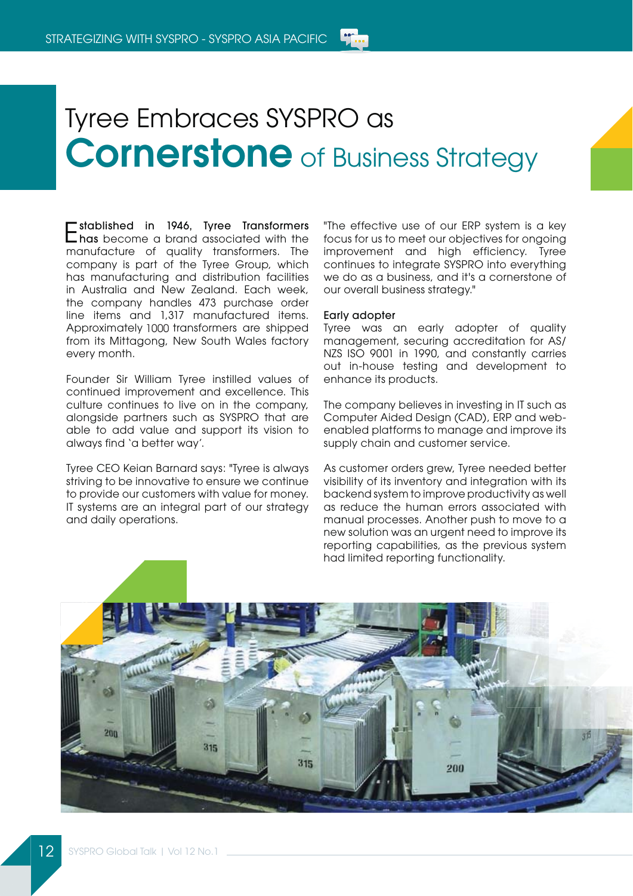## Tyree Embraces SYSPRO as **Cornerstone** of Business Strategy

Established in 1946, Tyree Transformers has become a brand associated with the manufacture of quality transformers. The company is part of the Tyree Group, which has manufacturing and distribution facilities in Australia and New Zealand. Each week, the company handles 473 purchase order line items and 1,317 manufactured items. Approximately 1000 transformers are shipped from its Mittagong, New South Wales factory every month.

Founder Sir William Tyree instilled values of continued improvement and excellence. This culture continues to live on in the company, alongside partners such as SYSPRO that are able to add value and support its vision to always find 'a better way'.

Tyree CEO Keian Barnard says: "Tyree is always striving to be innovative to ensure we continue to provide our customers with value for money. IT systems are an integral part of our strategy and daily operations.

"The effective use of our ERP system is a key focus for us to meet our objectives for ongoing improvement and high efficiency. Tyree continues to integrate SYSPRO into everything we do as a business, and it's a cornerstone of our overall business strategy."

## Early adopter

Tyree was an early adopter of quality management, securing accreditation for AS/ NZS ISO 9001 in 1990, and constantly carries out in-house testing and development to enhance its products.

The company believes in investing in IT such as Computer Aided Design (CAD), ERP and webenabled platforms to manage and improve its supply chain and customer service.

As customer orders grew, Tyree needed better visibility of its inventory and integration with its backend system to improve productivity as well as reduce the human errors associated with manual processes. Another push to move to a new solution was an urgent need to improve its reporting capabilities, as the previous system had limited reporting functionality.

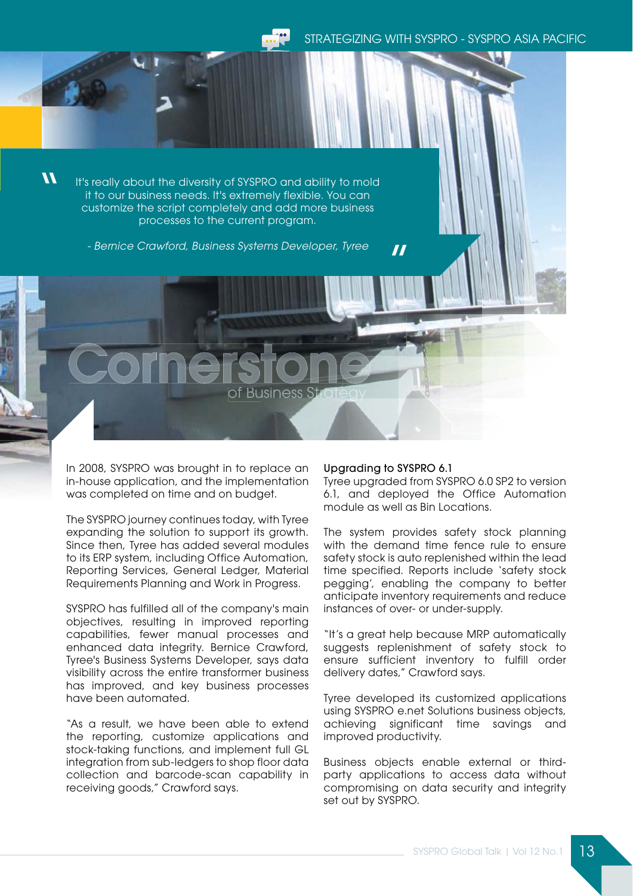of Business Strategy

STRATEGIZING WITH SYSPRO - SYSPRO ASIA PACIFIC

 $\boldsymbol{\mathcal{U}}$ 

It's really about the diversity of SYSPRO and ability to mold it to our business needs. It's extremely flexible. You can customize the script completely and add more business processes to the current program.

- Bernice Crawford, Business Systems Developer, Tyree

In 2008, SYSPRO was brought in to replace an in-house application, and the implementation was completed on time and on budget.

The SYSPRO journey continues today, with Tyree expanding the solution to support its growth. Since then, Tyree has added several modules to its ERP system, including Office Automation, Reporting Services, General Ledger, Material Requirements Planning and Work in Progress.

SYSPRO has fulfilled all of the company's main objectives, resulting in improved reporting capabilities, fewer manual processes and enhanced data integrity. Bernice Crawford, Tyree's Business Systems Developer, says data visibility across the entire transformer business has improved, and key business processes have been automated.

"As a result, we have been able to extend the reporting, customize applications and stock-taking functions, and implement full GL integration from sub-ledgers to shop floor data collection and barcode-scan capability in receiving goods," Crawford says.

## Upgrading to SYSPRO 6.1

 $\boldsymbol{\mathit{II}}$ 

Tyree upgraded from SYSPRO 6.0 SP2 to version 6.1, and deployed the Office Automation module as well as Bin Locations.

The system provides safety stock planning with the demand time fence rule to ensure safety stock is auto replenished within the lead time specified. Reports include 'safety stock pegging', enabling the company to better anticipate inventory requirements and reduce instances of over- or under-supply.

"It's a great help because MRP automatically suggests replenishment of safety stock to ensure sufficient inventory to fulfill order delivery dates," Crawford says.

Tyree developed its customized applications using SYSPRO e.net Solutions business objects, achieving significant time savings and improved productivity.

Business objects enable external or thirdparty applications to access data without compromising on data security and integrity set out by SYSPRO.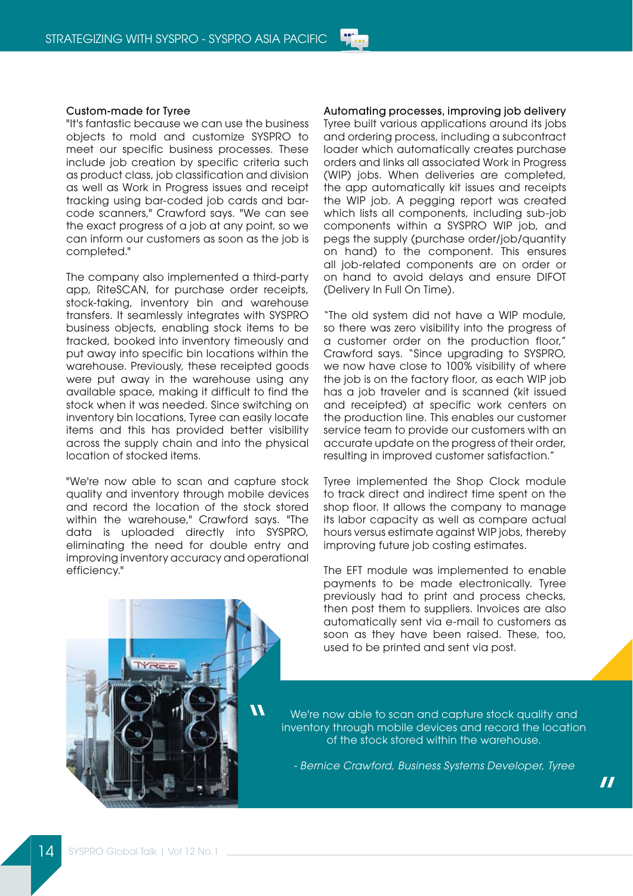## Custom-made for Tyree

"It's fantastic because we can use the business objects to mold and customize SYSPRO to meet our specific business processes. These include job creation by specific criteria such as product class, job classification and division as well as Work in Progress issues and receipt tracking using bar-coded job cards and barcode scanners," Crawford says. "We can see the exact progress of a job at any point, so we can inform our customers as soon as the job is completed."

The company also implemented a third-party app, RiteSCAN, for purchase order receipts, stock-taking, inventory bin and warehouse transfers. It seamlessly integrates with SYSPRO business objects, enabling stock items to be tracked, booked into inventory timeously and put away into specific bin locations within the warehouse. Previously, these receipted goods were put away in the warehouse using any available space, making it difficult to find the stock when it was needed. Since switching on inventory bin locations, Tyree can easily locate items and this has provided better visibility across the supply chain and into the physical location of stocked items.

"We're now able to scan and capture stock quality and inventory through mobile devices and record the location of the stock stored within the warehouse," Crawford says. "The data is uploaded directly into SYSPRO, eliminating the need for double entry and improving inventory accuracy and operational efficiency."

Automating processes, improving job delivery Tyree built various applications around its jobs and ordering process, including a subcontract loader which automatically creates purchase orders and links all associated Work in Progress (WIP) jobs. When deliveries are completed, the app automatically kit issues and receipts the WIP job. A pegging report was created which lists all components, including sub-job components within a SYSPRO WIP job, and pegs the supply (purchase order/job/quantity on hand) to the component. This ensures all job-related components are on order or on hand to avoid delays and ensure DIFOT (Delivery In Full On Time).

"The old system did not have a WIP module, so there was zero visibility into the progress of a customer order on the production floor," Crawford says. "Since upgrading to SYSPRO, we now have close to 100% visibility of where the job is on the factory floor, as each WIP job has a job traveler and is scanned (kit issued and receipted) at specific work centers on the production line. This enables our customer service team to provide our customers with an accurate update on the progress of their order, resulting in improved customer satisfaction."

Tyree implemented the Shop Clock module to track direct and indirect time spent on the shop floor. It allows the company to manage its labor capacity as well as compare actual hours versus estimate against WIP jobs, thereby improving future job costing estimates.

The EFT module was implemented to enable payments to be made electronically. Tyree previously had to print and process checks, then post them to suppliers. Invoices are also automatically sent via e-mail to customers as soon as they have been raised. These, too, used to be printed and sent via post.



We're now able to scan and capture stock quality and inventory through mobile devices and record the location of the stock stored within the warehouse.

- Bernice Crawford, Business Systems Developer, Tyree